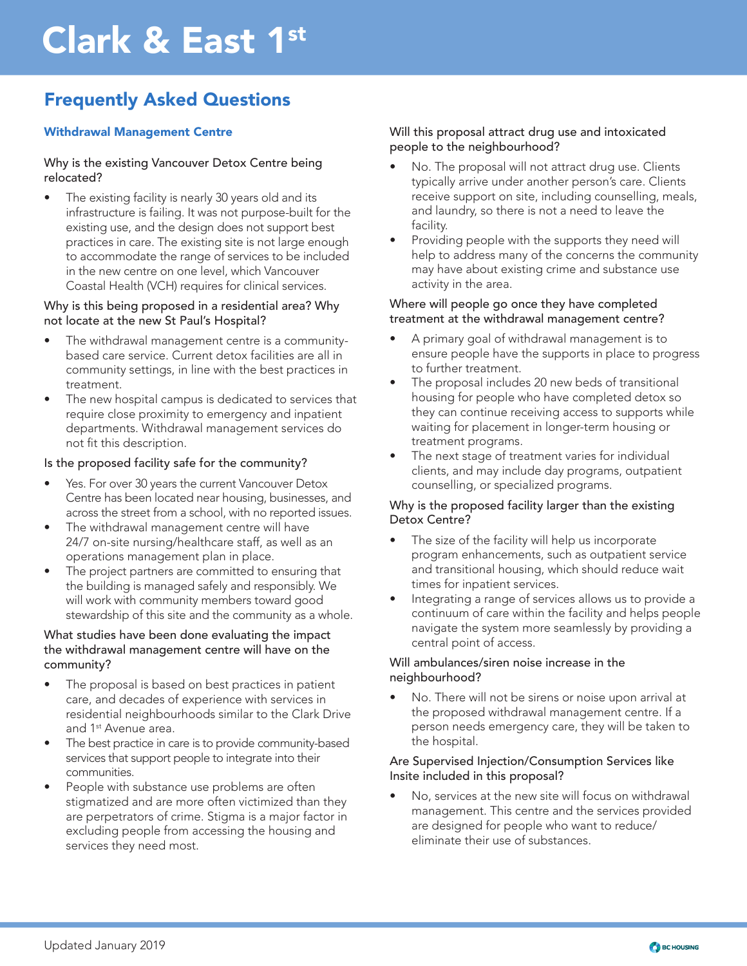# Clark & East 1st

# Frequently Asked Questions

# Withdrawal Management Centre

#### Why is the existing Vancouver Detox Centre being relocated?

The existing facility is nearly 30 years old and its infrastructure is failing. It was not purpose-built for the existing use, and the design does not support best practices in care. The existing site is not large enough to accommodate the range of services to be included in the new centre on one level, which Vancouver Coastal Health (VCH) requires for clinical services.

#### Why is this being proposed in a residential area? Why not locate at the new St Paul's Hospital?

- The withdrawal management centre is a communitybased care service. Current detox facilities are all in community settings, in line with the best practices in treatment.
- The new hospital campus is dedicated to services that require close proximity to emergency and inpatient departments. Withdrawal management services do not fit this description.

# Is the proposed facility safe for the community?

- Yes. For over 30 years the current Vancouver Detox Centre has been located near housing, businesses, and across the street from a school, with no reported issues.
- The withdrawal management centre will have 24/7 on-site nursing/healthcare staff, as well as an operations management plan in place.
- The project partners are committed to ensuring that the building is managed safely and responsibly. We will work with community members toward good stewardship of this site and the community as a whole.

#### What studies have been done evaluating the impact the withdrawal management centre will have on the community?

- The proposal is based on best practices in patient care, and decades of experience with services in residential neighbourhoods similar to the Clark Drive and 1<sup>st</sup> Avenue area.
- The best practice in care is to provide community-based services that support people to integrate into their communities.
- People with substance use problems are often stigmatized and are more often victimized than they are perpetrators of crime. Stigma is a major factor in excluding people from accessing the housing and services they need most.

# Will this proposal attract drug use and intoxicated people to the neighbourhood?

- No. The proposal will not attract drug use. Clients typically arrive under another person's care. Clients receive support on site, including counselling, meals, and laundry, so there is not a need to leave the facility.
- Providing people with the supports they need will help to address many of the concerns the community may have about existing crime and substance use activity in the area.

#### Where will people go once they have completed treatment at the withdrawal management centre?

- A primary goal of withdrawal management is to ensure people have the supports in place to progress to further treatment.
- The proposal includes 20 new beds of transitional housing for people who have completed detox so they can continue receiving access to supports while waiting for placement in longer-term housing or treatment programs.
- The next stage of treatment varies for individual clients, and may include day programs, outpatient counselling, or specialized programs.

# Why is the proposed facility larger than the existing Detox Centre?

- The size of the facility will help us incorporate program enhancements, such as outpatient service and transitional housing, which should reduce wait times for inpatient services.
- Integrating a range of services allows us to provide a continuum of care within the facility and helps people navigate the system more seamlessly by providing a central point of access.

# Will ambulances/siren noise increase in the neighbourhood?

• No. There will not be sirens or noise upon arrival at the proposed withdrawal management centre. If a person needs emergency care, they will be taken to the hospital.

#### Are Supervised Injection/Consumption Services like Insite included in this proposal?

• No, services at the new site will focus on withdrawal management. This centre and the services provided are designed for people who want to reduce/ eliminate their use of substances.